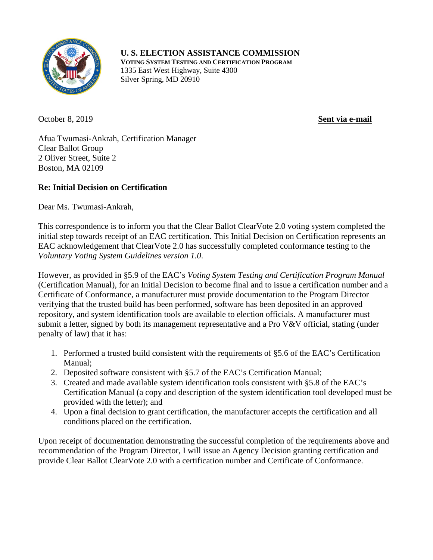

**U. S. ELECTION ASSISTANCE COMMISSION**

**VOTING SYSTEM TESTING AND CERTIFICATION PROGRAM** 1335 East West Highway, Suite 4300 Silver Spring, MD 20910

October 8, 2019 **Sent via e-mail**

Afua Twumasi-Ankrah, Certification Manager Clear Ballot Group 2 Oliver Street, Suite 2 Boston, MA 02109

## **Re: Initial Decision on Certification**

Dear Ms. Twumasi-Ankrah,

This correspondence is to inform you that the Clear Ballot ClearVote 2.0 voting system completed the initial step towards receipt of an EAC certification. This Initial Decision on Certification represents an EAC acknowledgement that ClearVote 2.0 has successfully completed conformance testing to the *Voluntary Voting System Guidelines version 1.0*.

However, as provided in §5.9 of the EAC's *Voting System Testing and Certification Program Manual* (Certification Manual), for an Initial Decision to become final and to issue a certification number and a Certificate of Conformance, a manufacturer must provide documentation to the Program Director verifying that the trusted build has been performed, software has been deposited in an approved repository, and system identification tools are available to election officials. A manufacturer must submit a letter, signed by both its management representative and a Pro V&V official, stating (under penalty of law) that it has:

- 1. Performed a trusted build consistent with the requirements of §5.6 of the EAC's Certification Manual;
- 2. Deposited software consistent with §5.7 of the EAC's Certification Manual;
- 3. Created and made available system identification tools consistent with §5.8 of the EAC's Certification Manual (a copy and description of the system identification tool developed must be provided with the letter); and
- 4. Upon a final decision to grant certification, the manufacturer accepts the certification and all conditions placed on the certification.

Upon receipt of documentation demonstrating the successful completion of the requirements above and recommendation of the Program Director, I will issue an Agency Decision granting certification and provide Clear Ballot ClearVote 2.0 with a certification number and Certificate of Conformance.